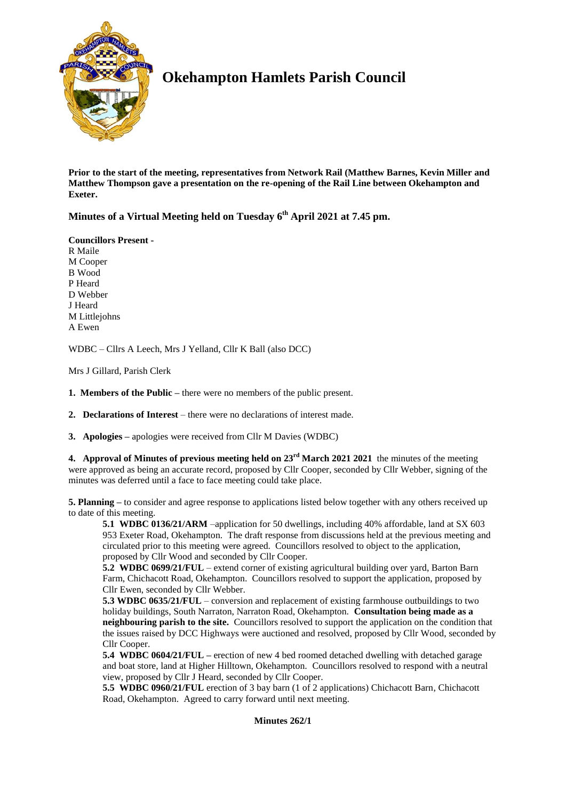

# **Okehampton Hamlets Parish Council**

**Prior to the start of the meeting, representatives from Network Rail (Matthew Barnes, Kevin Miller and Matthew Thompson gave a presentation on the re-opening of the Rail Line between Okehampton and Exeter.**

**Minutes of a Virtual Meeting held on Tuesday 6 th April 2021 at 7.45 pm.**

## **Councillors Present -**

R Maile M Cooper B Wood P Heard D Webber J Heard M Littlejohns A Ewen

WDBC – Cllrs A Leech, Mrs J Yelland, Cllr K Ball (also DCC)

Mrs J Gillard, Parish Clerk

**1. Members of the Public –** there were no members of the public present.

**2. Declarations of Interest** – there were no declarations of interest made.

**3. Apologies –** apologies were received from Cllr M Davies (WDBC)

**4. Approval of Minutes of previous meeting held on 23rd March 2021 2021** the minutes of the meeting were approved as being an accurate record, proposed by Cllr Cooper, seconded by Cllr Webber, signing of the minutes was deferred until a face to face meeting could take place.

**5. Planning –** to consider and agree response to applications listed below together with any others received up to date of this meeting.

**5.1 WDBC 0136/21/ARM** –application for 50 dwellings, including 40% affordable, land at SX 603 953 Exeter Road, Okehampton. The draft response from discussions held at the previous meeting and circulated prior to this meeting were agreed. Councillors resolved to object to the application, proposed by Cllr Wood and seconded by Cllr Cooper.

**5.2 WDBC 0699/21/FUL** – extend corner of existing agricultural building over yard, Barton Barn Farm, Chichacott Road, Okehampton. Councillors resolved to support the application, proposed by Cllr Ewen, seconded by Cllr Webber.

**5.3 WDBC 0635/21/FUL** – conversion and replacement of existing farmhouse outbuildings to two holiday buildings, South Narraton, Narraton Road, Okehampton. **Consultation being made as a neighbouring parish to the site.** Councillors resolved to support the application on the condition that the issues raised by DCC Highways were auctioned and resolved, proposed by Cllr Wood, seconded by Cllr Cooper.

**5.4 WDBC 0604/21/FUL –** erection of new 4 bed roomed detached dwelling with detached garage and boat store, land at Higher Hilltown, Okehampton. Councillors resolved to respond with a neutral view, proposed by Cllr J Heard, seconded by Cllr Cooper.

**5.5 WDBC 0960/21/FUL** erection of 3 bay barn (1 of 2 applications) Chichacott Barn, Chichacott Road, Okehampton. Agreed to carry forward until next meeting.

**Minutes 262/1**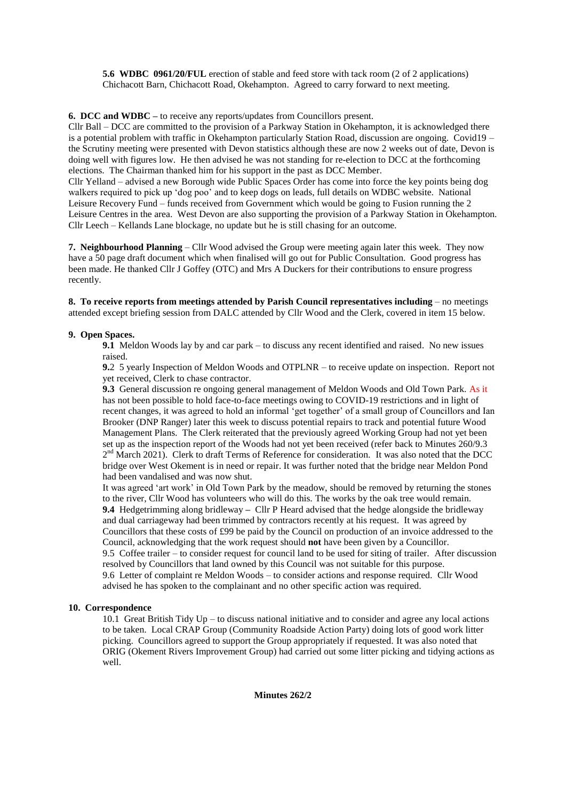**5.6 WDBC 0961/20/FUL** erection of stable and feed store with tack room (2 of 2 applications) Chichacott Barn, Chichacott Road, Okehampton. Agreed to carry forward to next meeting.

**6. DCC and WDBC –** to receive any reports/updates from Councillors present.

Cllr Ball – DCC are committed to the provision of a Parkway Station in Okehampton, it is acknowledged there is a potential problem with traffic in Okehampton particularly Station Road, discussion are ongoing. Covid19 – the Scrutiny meeting were presented with Devon statistics although these are now 2 weeks out of date, Devon is doing well with figures low. He then advised he was not standing for re-election to DCC at the forthcoming elections. The Chairman thanked him for his support in the past as DCC Member.

Cllr Yelland – advised a new Borough wide Public Spaces Order has come into force the key points being dog walkers required to pick up 'dog poo' and to keep dogs on leads, full details on WDBC website. National Leisure Recovery Fund – funds received from Government which would be going to Fusion running the 2 Leisure Centres in the area. West Devon are also supporting the provision of a Parkway Station in Okehampton. Cllr Leech – Kellands Lane blockage, no update but he is still chasing for an outcome.

**7. Neighbourhood Planning** – Cllr Wood advised the Group were meeting again later this week. They now have a 50 page draft document which when finalised will go out for Public Consultation. Good progress has been made. He thanked Cllr J Goffey (OTC) and Mrs A Duckers for their contributions to ensure progress recently.

**8. To receive reports from meetings attended by Parish Council representatives including** – no meetings attended except briefing session from DALC attended by Cllr Wood and the Clerk, covered in item 15 below.

#### **9. Open Spaces.**

**9.1** Meldon Woods lay by and car park – to discuss any recent identified and raised. No new issues raised.

**9.**2 5 yearly Inspection of Meldon Woods and OTPLNR – to receive update on inspection. Report not yet received, Clerk to chase contractor.

**9.3** General discussion re ongoing general management of Meldon Woods and Old Town Park. As it has not been possible to hold face-to-face meetings owing to COVID-19 restrictions and in light of recent changes, it was agreed to hold an informal 'get together' of a small group of Councillors and Ian Brooker (DNP Ranger) later this week to discuss potential repairs to track and potential future Wood Management Plans. The Clerk reiterated that the previously agreed Working Group had not yet been set up as the inspection report of the Woods had not yet been received (refer back to Minutes 260/9.3 2<sup>nd</sup> March 2021). Clerk to draft Terms of Reference for consideration. It was also noted that the DCC bridge over West Okement is in need or repair. It was further noted that the bridge near Meldon Pond had been vandalised and was now shut.

It was agreed 'art work' in Old Town Park by the meadow, should be removed by returning the stones to the river, Cllr Wood has volunteers who will do this. The works by the oak tree would remain. **9.4** Hedgetrimming along bridleway **–** Cllr P Heard advised that the hedge alongside the bridleway and dual carriageway had been trimmed by contractors recently at his request. It was agreed by Councillors that these costs of £99 be paid by the Council on production of an invoice addressed to the Council, acknowledging that the work request should **not** have been given by a Councillor. 9.5 Coffee trailer – to consider request for council land to be used for siting of trailer. After discussion resolved by Councillors that land owned by this Council was not suitable for this purpose. 9.6 Letter of complaint re Meldon Woods – to consider actions and response required. Cllr Wood advised he has spoken to the complainant and no other specific action was required.

#### **10. Correspondence**

10.1 Great British Tidy  $Up - to$  discuss national initiative and to consider and agree any local actions to be taken. Local CRAP Group (Community Roadside Action Party) doing lots of good work litter picking. Councillors agreed to support the Group appropriately if requested. It was also noted that ORIG (Okement Rivers Improvement Group) had carried out some litter picking and tidying actions as well.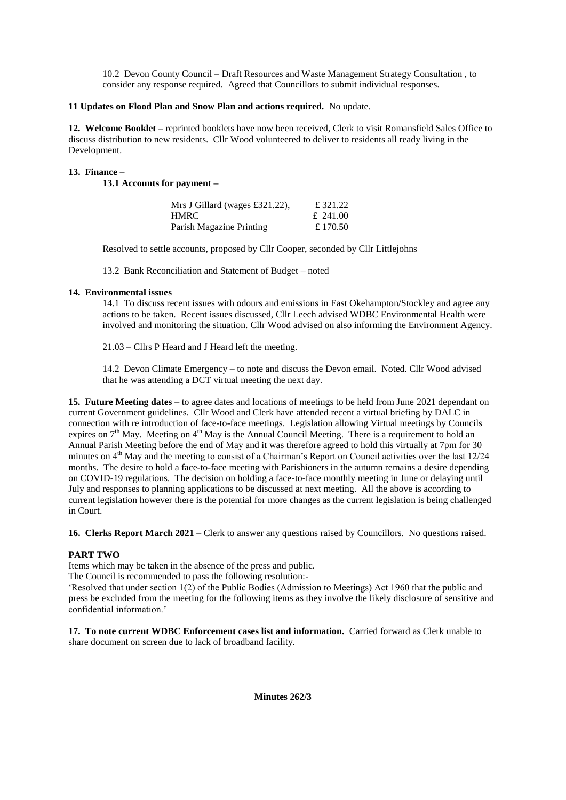10.2 Devon County Council – Draft Resources and Waste Management Strategy Consultation , to consider any response required. Agreed that Councillors to submit individual responses.

#### **11 Updates on Flood Plan and Snow Plan and actions required.** No update.

**12. Welcome Booklet –** reprinted booklets have now been received, Clerk to visit Romansfield Sales Office to discuss distribution to new residents. Cllr Wood volunteered to deliver to residents all ready living in the Development.

#### **13. Finance** –

**13.1 Accounts for payment –**

| Mrs J Gillard (wages £321.22), | £ 321.22 |
|--------------------------------|----------|
| <b>HMRC</b>                    | £ 241.00 |
| Parish Magazine Printing       | £ 170.50 |

Resolved to settle accounts, proposed by Cllr Cooper, seconded by Cllr Littlejohns

13.2 Bank Reconciliation and Statement of Budget – noted

## **14. Environmental issues**

14.1 To discuss recent issues with odours and emissions in East Okehampton/Stockley and agree any actions to be taken. Recent issues discussed, Cllr Leech advised WDBC Environmental Health were involved and monitoring the situation. Cllr Wood advised on also informing the Environment Agency.

21.03 – Cllrs P Heard and J Heard left the meeting.

14.2 Devon Climate Emergency – to note and discuss the Devon email. Noted. Cllr Wood advised that he was attending a DCT virtual meeting the next day.

**15. Future Meeting dates** – to agree dates and locations of meetings to be held from June 2021 dependant on current Government guidelines. Cllr Wood and Clerk have attended recent a virtual briefing by DALC in connection with re introduction of face-to-face meetings. Legislation allowing Virtual meetings by Councils expires on  $7<sup>th</sup>$  May. Meeting on  $4<sup>th</sup>$  May is the Annual Council Meeting. There is a requirement to hold an Annual Parish Meeting before the end of May and it was therefore agreed to hold this virtually at 7pm for 30 minutes on  $4<sup>th</sup>$  May and the meeting to consist of a Chairman's Report on Council activities over the last 12/24 months. The desire to hold a face-to-face meeting with Parishioners in the autumn remains a desire depending on COVID-19 regulations. The decision on holding a face-to-face monthly meeting in June or delaying until July and responses to planning applications to be discussed at next meeting. All the above is according to current legislation however there is the potential for more changes as the current legislation is being challenged in Court.

**16. Clerks Report March 2021** – Clerk to answer any questions raised by Councillors. No questions raised.

# **PART TWO**

Items which may be taken in the absence of the press and public.

The Council is recommended to pass the following resolution:-

'Resolved that under section 1(2) of the Public Bodies (Admission to Meetings) Act 1960 that the public and press be excluded from the meeting for the following items as they involve the likely disclosure of sensitive and confidential information.'

**17. To note current WDBC Enforcement cases list and information.** Carried forward as Clerk unable to share document on screen due to lack of broadband facility.